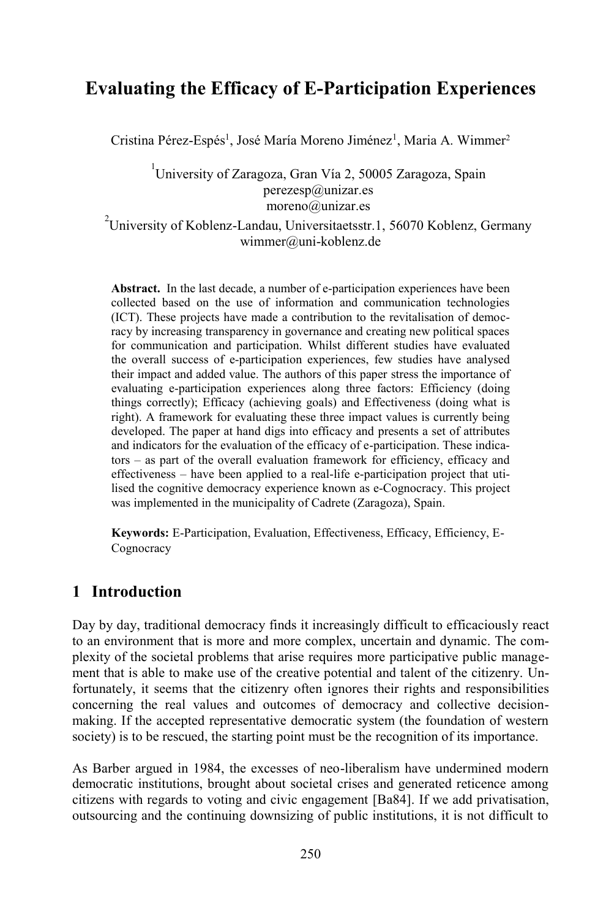# **Evaluating the Efficacy of E-Participation Experiences**

Cristina Pérez-Espés<sup>1</sup>, José María Moreno Jiménez<sup>1</sup>, Maria A. Wimmer<sup>2</sup>

#### 1 University of Zaragoza, Gran Vía 2, 50005 Zaragoza, Spain perezesp@unizar.es moreno@unizar.es

#### $^{2}$ University of Koblenz-Landau, Universitaetsstr.1, 56070 Koblenz, Germany wimmer@uni-koblenz.de

**Abstract.** In the last decade, a number of e-participation experiences have been collected based on the use of information and communication technologies (ICT). These projects have made a contribution to the revitalisation of democracy by increasing transparency in governance and creating new political spaces for communication and participation. Whilst different studies have evaluated the overall success of e-participation experiences, few studies have analysed their impact and added value. The authors of this paper stress the importance of evaluating e-participation experiences along three factors: Efficiency (doing things correctly); Efficacy (achieving goals) and Effectiveness (doing what is right). A framework for evaluating these three impact values is currently being developed. The paper at hand digs into efficacy and presents a set of attributes and indicators for the evaluation of the efficacy of e-participation. These indicators – as part of the overall evaluation framework for efficiency, efficacy and effectiveness – have been applied to a real-life e-participation project that utilised the cognitive democracy experience known as e-Cognocracy. This project was implemented in the municipality of Cadrete (Zaragoza), Spain.

**Keywords:** E-Participation, Evaluation, Effectiveness, Efficacy, Efficiency, E-Cognocracy

### **1 Introduction**

Day by day, traditional democracy finds it increasingly difficult to efficaciously react to an environment that is more and more complex, uncertain and dynamic. The complexity of the societal problems that arise requires more participative public management that is able to make use of the creative potential and talent of the citizenry. Unfortunately, it seems that the citizenry often ignores their rights and responsibilities concerning the real values and outcomes of democracy and collective decisionmaking. If the accepted representative democratic system (the foundation of western society) is to be rescued, the starting point must be the recognition of its importance.

As Barber argued in 1984, the excesses of neo-liberalism have undermined modern democratic institutions, brought about societal crises and generated reticence among citizens with regards to voting and civic engagement [Ba84]. If we add privatisation, outsourcing and the continuing downsizing of public institutions, it is not difficult to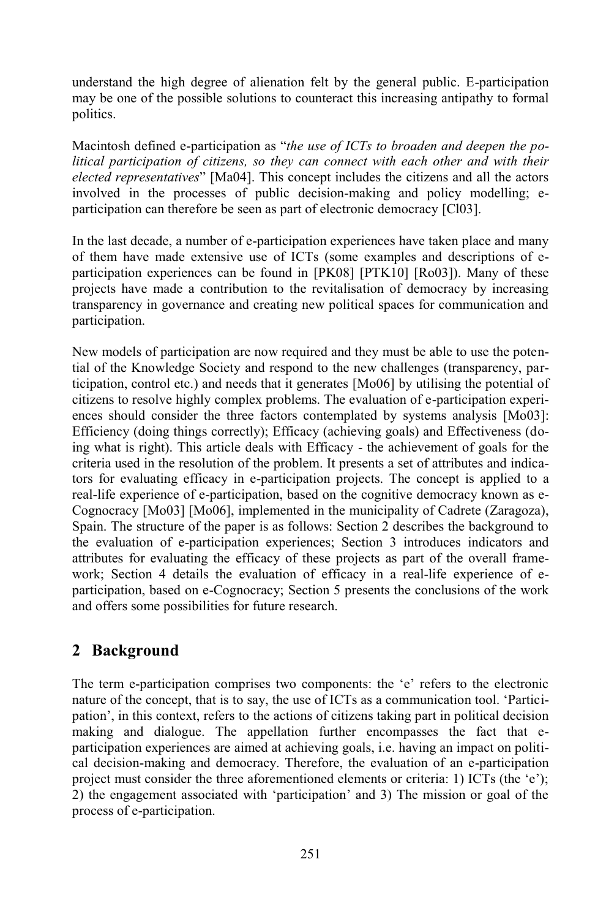understand the high degree of alienation felt by the general public. E-participation may be one of the possible solutions to counteract this increasing antipathy to formal politics.

Macintosh defined e-participation as "*the use of ICTs to broaden and deepen the political participation of citizens, so they can connect with each other and with their elected representatives*" [Ma04]. This concept includes the citizens and all the actors involved in the processes of public decision-making and policy modelling; eparticipation can therefore be seen as part of electronic democracy [Cl03].

In the last decade, a number of e-participation experiences have taken place and many of them have made extensive use of ICTs (some examples and descriptions of eparticipation experiences can be found in [PK08] [PTK10] [Ro03]). Many of these projects have made a contribution to the revitalisation of democracy by increasing transparency in governance and creating new political spaces for communication and participation.

New models of participation are now required and they must be able to use the potential of the Knowledge Society and respond to the new challenges (transparency, participation, control etc.) and needs that it generates [Mo06] by utilising the potential of citizens to resolve highly complex problems. The evaluation of e-participation experiences should consider the three factors contemplated by systems analysis [Mo03]: Efficiency (doing things correctly); Efficacy (achieving goals) and Effectiveness (doing what is right). This article deals with Efficacy - the achievement of goals for the criteria used in the resolution of the problem. It presents a set of attributes and indicators for evaluating efficacy in e-participation projects. The concept is applied to a real-life experience of e-participation, based on the cognitive democracy known as e-Cognocracy [Mo03] [Mo06], implemented in the municipality of Cadrete (Zaragoza), Spain. The structure of the paper is as follows: Section 2 describes the background to the evaluation of e-participation experiences; Section 3 introduces indicators and attributes for evaluating the efficacy of these projects as part of the overall framework; Section 4 details the evaluation of efficacy in a real-life experience of eparticipation, based on e-Cognocracy; Section 5 presents the conclusions of the work and offers some possibilities for future research.

## **2 Background**

The term e-participation comprises two components: the 'e' refers to the electronic nature of the concept, that is to say, the use of ICTs as a communication tool. 'Participation', in this context, refers to the actions of citizens taking part in political decision making and dialogue. The appellation further encompasses the fact that eparticipation experiences are aimed at achieving goals, i.e. having an impact on political decision-making and democracy. Therefore, the evaluation of an e-participation project must consider the three aforementioned elements or criteria: 1) ICTs (the 'e'); 2) the engagement associated with 'participation' and 3) The mission or goal of the process of e-participation.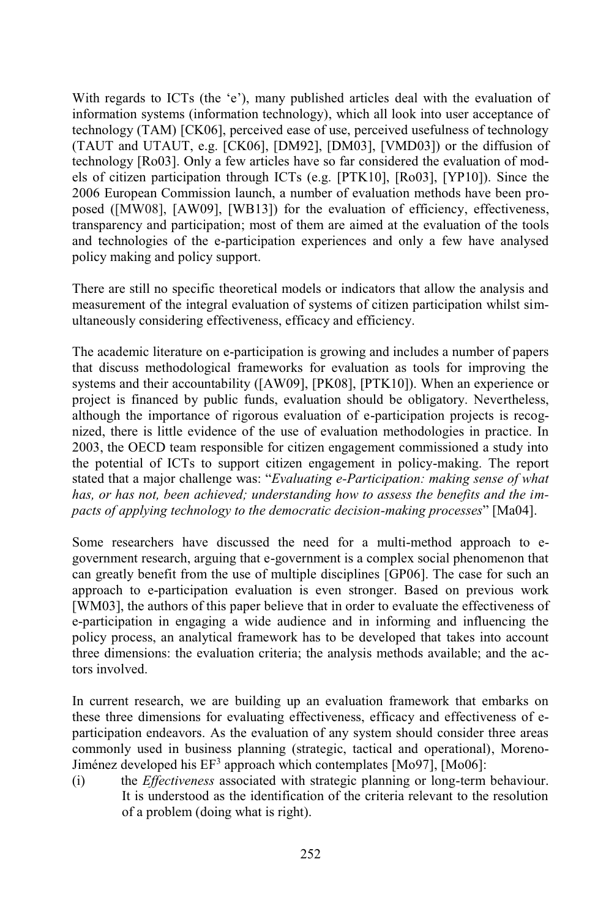With regards to ICTs (the 'e'), many published articles deal with the evaluation of information systems (information technology), which all look into user acceptance of technology (TAM) [CK06], perceived ease of use, perceived usefulness of technology (TAUT and UTAUT, e.g. [CK06], [DM92], [DM03], [VMD03]) or the diffusion of technology [Ro03]. Only a few articles have so far considered the evaluation of models of citizen participation through ICTs (e.g. [PTK10], [Ro03], [YP10]). Since the 2006 European Commission launch, a number of evaluation methods have been proposed ([MW08], [AW09], [WB13]) for the evaluation of efficiency, effectiveness, transparency and participation; most of them are aimed at the evaluation of the tools and technologies of the e-participation experiences and only a few have analysed policy making and policy support.

There are still no specific theoretical models or indicators that allow the analysis and measurement of the integral evaluation of systems of citizen participation whilst simultaneously considering effectiveness, efficacy and efficiency.

The academic literature on e-participation is growing and includes a number of papers that discuss methodological frameworks for evaluation as tools for improving the systems and their accountability ([AW09], [PK08], [PTK10]). When an experience or project is financed by public funds, evaluation should be obligatory. Nevertheless, although the importance of rigorous evaluation of e-participation projects is recognized, there is little evidence of the use of evaluation methodologies in practice. In 2003, the OECD team responsible for citizen engagement commissioned a study into the potential of ICTs to support citizen engagement in policy-making. The report stated that a major challenge was: "*Evaluating e-Participation: making sense of what has, or has not, been achieved; understanding how to assess the benefits and the impacts of applying technology to the democratic decision-making processes*" [Ma04].

Some researchers have discussed the need for a multi-method approach to egovernment research, arguing that e-government is a complex social phenomenon that can greatly benefit from the use of multiple disciplines [GP06]. The case for such an approach to e-participation evaluation is even stronger. Based on previous work [WM03], the authors of this paper believe that in order to evaluate the effectiveness of e-participation in engaging a wide audience and in informing and influencing the policy process, an analytical framework has to be developed that takes into account three dimensions: the evaluation criteria; the analysis methods available; and the actors involved.

In current research, we are building up an evaluation framework that embarks on these three dimensions for evaluating effectiveness, efficacy and effectiveness of eparticipation endeavors. As the evaluation of any system should consider three areas commonly used in business planning (strategic, tactical and operational), Moreno-Jiménez developed his EF<sup>3</sup> approach which contemplates [Mo97], [Mo06]:

(i) the *Effectiveness* associated with strategic planning or long-term behaviour. It is understood as the identification of the criteria relevant to the resolution of a problem (doing what is right).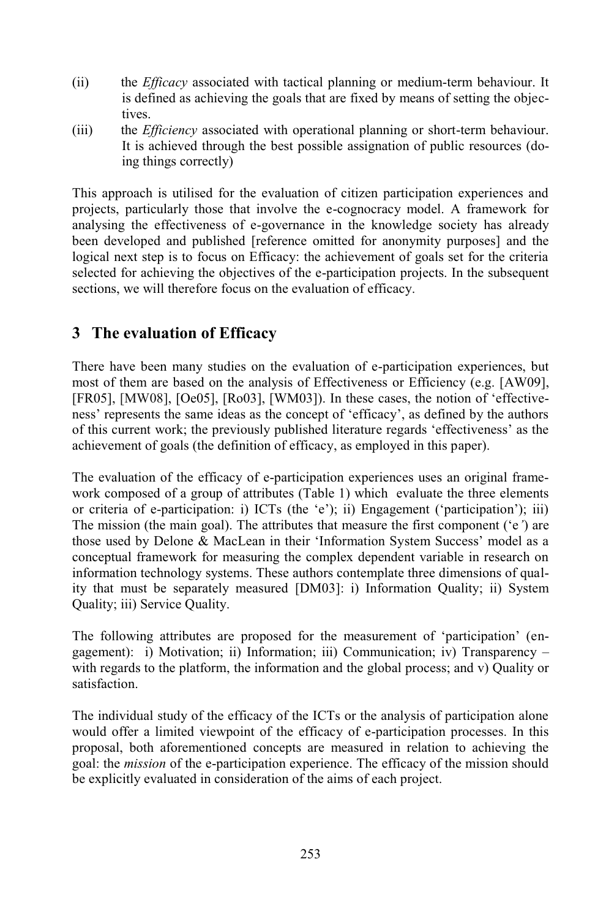- (ii) the *Efficacy* associated with tactical planning or medium-term behaviour. It is defined as achieving the goals that are fixed by means of setting the objectives.
- (iii) the *Efficiency* associated with operational planning or short-term behaviour. It is achieved through the best possible assignation of public resources (doing things correctly)

This approach is utilised for the evaluation of citizen participation experiences and projects, particularly those that involve the e-cognocracy model. A framework for analysing the effectiveness of e-governance in the knowledge society has already been developed and published [reference omitted for anonymity purposes] and the logical next step is to focus on Efficacy: the achievement of goals set for the criteria selected for achieving the objectives of the e-participation projects. In the subsequent sections, we will therefore focus on the evaluation of efficacy.

## **3 The evaluation of Efficacy**

There have been many studies on the evaluation of e-participation experiences, but most of them are based on the analysis of Effectiveness or Efficiency (e.g. [AW09], [FR05], [MW08], [Oe05], [Ro03], [WM03]). In these cases, the notion of 'effectiveness' represents the same ideas as the concept of 'efficacy', as defined by the authors of this current work; the previously published literature regards 'effectiveness' as the achievement of goals (the definition of efficacy, as employed in this paper).

The evaluation of the efficacy of e-participation experiences uses an original framework composed of a group of attributes (Table 1) which evaluate the three elements or criteria of e-participation: i) ICTs (the 'e'); ii) Engagement ('participation'); iii) The mission (the main goal). The attributes that measure the first component ('e*'*) are those used by Delone & MacLean in their 'Information System Success' model as a conceptual framework for measuring the complex dependent variable in research on information technology systems. These authors contemplate three dimensions of quality that must be separately measured [DM03]: i) Information Quality; ii) System Quality; iii) Service Quality.

The following attributes are proposed for the measurement of 'participation' (engagement): i) Motivation; ii) Information; iii) Communication; iv) Transparency – with regards to the platform, the information and the global process; and v) Quality or satisfaction.

The individual study of the efficacy of the ICTs or the analysis of participation alone would offer a limited viewpoint of the efficacy of e-participation processes. In this proposal, both aforementioned concepts are measured in relation to achieving the goal: the *mission* of the e-participation experience. The efficacy of the mission should be explicitly evaluated in consideration of the aims of each project.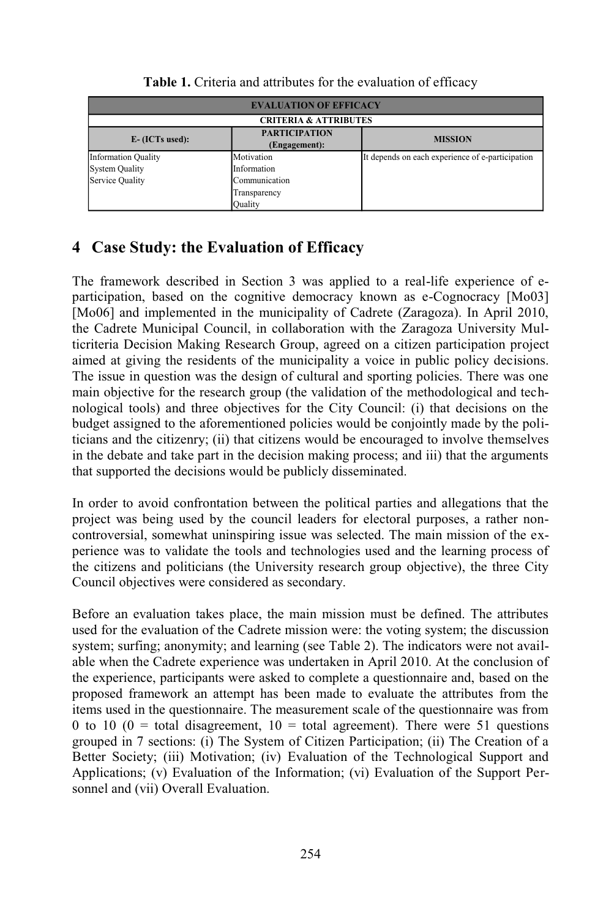| <b>EVALUATION OF EFFICACY</b>    |                                       |                                                  |  |  |  |  |
|----------------------------------|---------------------------------------|--------------------------------------------------|--|--|--|--|
| <b>CRITERIA &amp; ATTRIBUTES</b> |                                       |                                                  |  |  |  |  |
| $E - (ICTs used):$               | <b>PARTICIPATION</b><br>(Engagement): | <b>MISSION</b>                                   |  |  |  |  |
| <b>Information Quality</b>       | Motivation                            | It depends on each experience of e-participation |  |  |  |  |
| <b>System Quality</b>            | Information                           |                                                  |  |  |  |  |
| Service Quality                  | Communication                         |                                                  |  |  |  |  |
|                                  | Transparency                          |                                                  |  |  |  |  |
|                                  | Quality                               |                                                  |  |  |  |  |

**Table 1.** Criteria and attributes for the evaluation of efficacy

## **4 Case Study: the Evaluation of Efficacy**

The framework described in Section 3 was applied to a real-life experience of eparticipation, based on the cognitive democracy known as e-Cognocracy [Mo03] [Mo06] and implemented in the municipality of Cadrete (Zaragoza). In April 2010, the Cadrete Municipal Council, in collaboration with the Zaragoza University Multicriteria Decision Making Research Group, agreed on a citizen participation project aimed at giving the residents of the municipality a voice in public policy decisions. The issue in question was the design of cultural and sporting policies. There was one main objective for the research group (the validation of the methodological and technological tools) and three objectives for the City Council: (i) that decisions on the budget assigned to the aforementioned policies would be conjointly made by the politicians and the citizenry; (ii) that citizens would be encouraged to involve themselves in the debate and take part in the decision making process; and iii) that the arguments that supported the decisions would be publicly disseminated.

In order to avoid confrontation between the political parties and allegations that the project was being used by the council leaders for electoral purposes, a rather noncontroversial, somewhat uninspiring issue was selected. The main mission of the experience was to validate the tools and technologies used and the learning process of the citizens and politicians (the University research group objective), the three City Council objectives were considered as secondary.

Before an evaluation takes place, the main mission must be defined. The attributes used for the evaluation of the Cadrete mission were: the voting system; the discussion system; surfing; anonymity; and learning (see Table 2). The indicators were not available when the Cadrete experience was undertaken in April 2010. At the conclusion of the experience, participants were asked to complete a questionnaire and, based on the proposed framework an attempt has been made to evaluate the attributes from the items used in the questionnaire. The measurement scale of the questionnaire was from 0 to 10 (0 = total disagreement,  $10 =$  total agreement). There were 51 questions grouped in 7 sections: (i) The System of Citizen Participation; (ii) The Creation of a Better Society; (iii) Motivation; (iv) Evaluation of the Technological Support and Applications; (v) Evaluation of the Information; (vi) Evaluation of the Support Personnel and (vii) Overall Evaluation.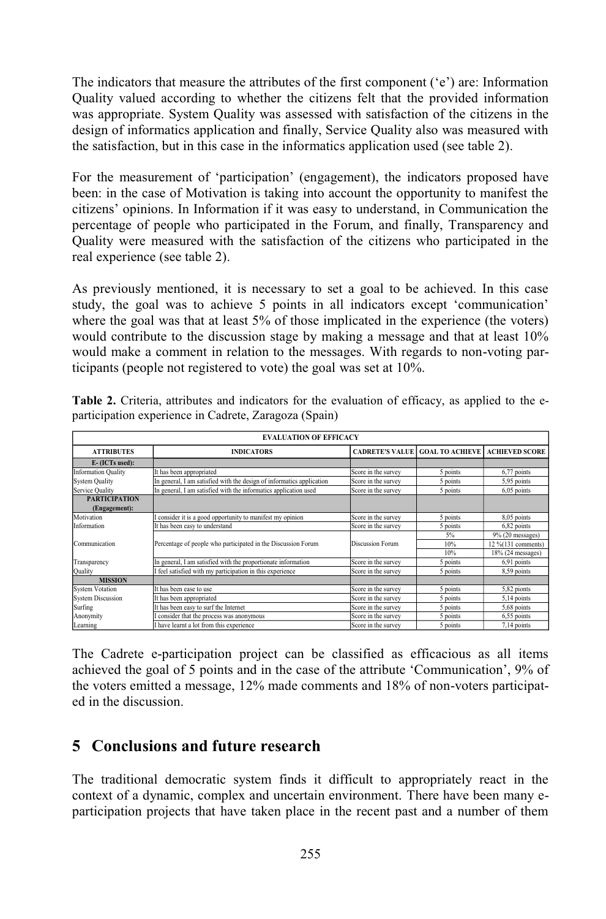The indicators that measure the attributes of the first component ('e') are: Information Quality valued according to whether the citizens felt that the provided information was appropriate. System Quality was assessed with satisfaction of the citizens in the design of informatics application and finally, Service Quality also was measured with the satisfaction, but in this case in the informatics application used (see table 2).

For the measurement of 'participation' (engagement), the indicators proposed have been: in the case of Motivation is taking into account the opportunity to manifest the citizens' opinions. In Information if it was easy to understand, in Communication the percentage of people who participated in the Forum, and finally, Transparency and Quality were measured with the satisfaction of the citizens who participated in the real experience (see table 2).

As previously mentioned, it is necessary to set a goal to be achieved. In this case study, the goal was to achieve 5 points in all indicators except 'communication' where the goal was that at least 5% of those implicated in the experience (the voters) would contribute to the discussion stage by making a message and that at least 10% would make a comment in relation to the messages. With regards to non-voting participants (people not registered to vote) the goal was set at 10%.

| <b>EVALUATION OF EFFICACY</b> |                                                                       |                     |                                        |                       |  |  |
|-------------------------------|-----------------------------------------------------------------------|---------------------|----------------------------------------|-----------------------|--|--|
| <b>ATTRIBUTES</b>             | <b>INDICATORS</b>                                                     |                     | <b>CADRETE'S VALUE GOAL TO ACHIEVE</b> | <b>ACHIEVED SCORE</b> |  |  |
| E- (ICTs used):               |                                                                       |                     |                                        |                       |  |  |
| <b>Information Quality</b>    | It has been appropriated                                              | Score in the survey | 5 points                               | 6,77 points           |  |  |
| <b>System Quality</b>         | In general, I am satisfied with the design of informatics application | Score in the survey | 5 points                               | 5,95 points           |  |  |
| <b>Service Quality</b>        | In general, I am satisfied with the informatics application used      | Score in the survey | 5 points                               | 6,05 points           |  |  |
| <b>PARTICIPATION</b>          |                                                                       |                     |                                        |                       |  |  |
| (Engagement):                 |                                                                       |                     |                                        |                       |  |  |
| Motivation                    | I consider it is a good opportunity to manifest my opinion            | Score in the survey | 5 points                               | 8,05 points           |  |  |
| Information                   | It has been easy to understand                                        | Score in the survey | 5 points                               | 6,82 points           |  |  |
| Communication                 | Percentage of people who participated in the Discussion Forum         | Discussion Forum    | 5%                                     | $9\%$ (20 messages)   |  |  |
|                               |                                                                       |                     | 10%                                    | 12 %(131 comments)    |  |  |
|                               |                                                                       |                     | 10%                                    | 18% (24 messages)     |  |  |
| Transparency                  | In general, I am satisfied with the proportionate information         | Score in the survey | 5 points                               | 6,91 points           |  |  |
| Quality                       | I feel satisfied with my participation in this experience             | Score in the survey | 5 points                               | 8,59 points           |  |  |
| <b>MISSION</b>                |                                                                       |                     |                                        |                       |  |  |
| <b>System Votation</b>        | It has been ease to use                                               | Score in the survey | 5 points                               | 5,82 pionts           |  |  |
| <b>System Discussion</b>      | It has been appropriated                                              | Score in the survey | 5 points                               | 5,14 points           |  |  |
| Surfing                       | It has been easy to surf the Internet                                 | Score in the survey | 5 points                               | 5,68 points           |  |  |
| Anonymity                     | I consider that the process was anonymous                             | Score in the survey | 5 points                               | 6,55 points           |  |  |
| Learning                      | I have learnt a lot from this experience                              | Score in the survey | 5 points                               | 7,14 points           |  |  |

**Table 2.** Criteria, attributes and indicators for the evaluation of efficacy, as applied to the eparticipation experience in Cadrete, Zaragoza (Spain)

The Cadrete e-participation project can be classified as efficacious as all items achieved the goal of 5 points and in the case of the attribute 'Communication', 9% of the voters emitted a message, 12% made comments and 18% of non-voters participated in the discussion.

### **5 Conclusions and future research**

The traditional democratic system finds it difficult to appropriately react in the context of a dynamic, complex and uncertain environment. There have been many eparticipation projects that have taken place in the recent past and a number of them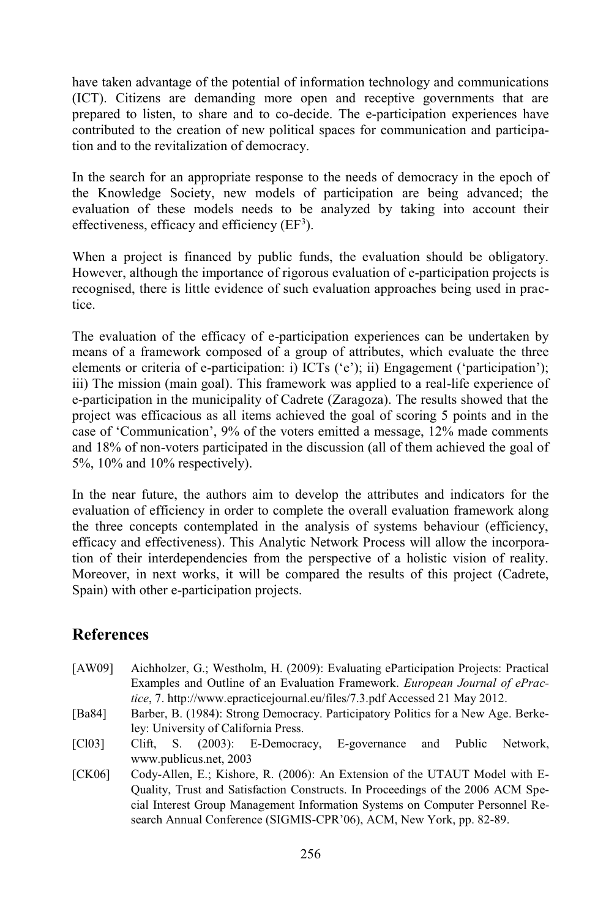have taken advantage of the potential of information technology and communications (ICT). Citizens are demanding more open and receptive governments that are prepared to listen, to share and to co-decide. The e-participation experiences have contributed to the creation of new political spaces for communication and participation and to the revitalization of democracy.

In the search for an appropriate response to the needs of democracy in the epoch of the Knowledge Society, new models of participation are being advanced; the evaluation of these models needs to be analyzed by taking into account their effectiveness, efficacy and efficiency  $(EF<sup>3</sup>)$ .

When a project is financed by public funds, the evaluation should be obligatory. However, although the importance of rigorous evaluation of e-participation projects is recognised, there is little evidence of such evaluation approaches being used in practice.

The evaluation of the efficacy of e-participation experiences can be undertaken by means of a framework composed of a group of attributes, which evaluate the three elements or criteria of e-participation: i) ICTs ('e'); ii) Engagement ('participation'); iii) The mission (main goal). This framework was applied to a real-life experience of e-participation in the municipality of Cadrete (Zaragoza). The results showed that the project was efficacious as all items achieved the goal of scoring 5 points and in the case of 'Communication', 9% of the voters emitted a message, 12% made comments and 18% of non-voters participated in the discussion (all of them achieved the goal of 5%, 10% and 10% respectively).

In the near future, the authors aim to develop the attributes and indicators for the evaluation of efficiency in order to complete the overall evaluation framework along the three concepts contemplated in the analysis of systems behaviour (efficiency, efficacy and effectiveness). This Analytic Network Process will allow the incorporation of their interdependencies from the perspective of a holistic vision of reality. Moreover, in next works, it will be compared the results of this project (Cadrete, Spain) with other e-participation projects.

### **References**

- [AW09] Aichholzer, G.; Westholm, H. (2009): Evaluating eParticipation Projects: Practical Examples and Outline of an Evaluation Framework. *European Journal of ePractice*, 7. http://www.epracticejournal.eu/files/7.3.pdf Accessed 21 May 2012.
- [Ba84] Barber, B. (1984): Strong Democracy. Participatory Politics for a New Age. Berkeley: University of California Press.
- [Cl03] Clift, S. (2003): E-Democracy, E-governance and Public Network, www.publicus.net, 2003
- [CK06] Cody-Allen, E.; Kishore, R. (2006): An Extension of the UTAUT Model with E-Quality, Trust and Satisfaction Constructs. In Proceedings of the 2006 ACM Special Interest Group Management Information Systems on Computer Personnel Research Annual Conference (SIGMIS-CPR'06), ACM, New York, pp. 82-89.